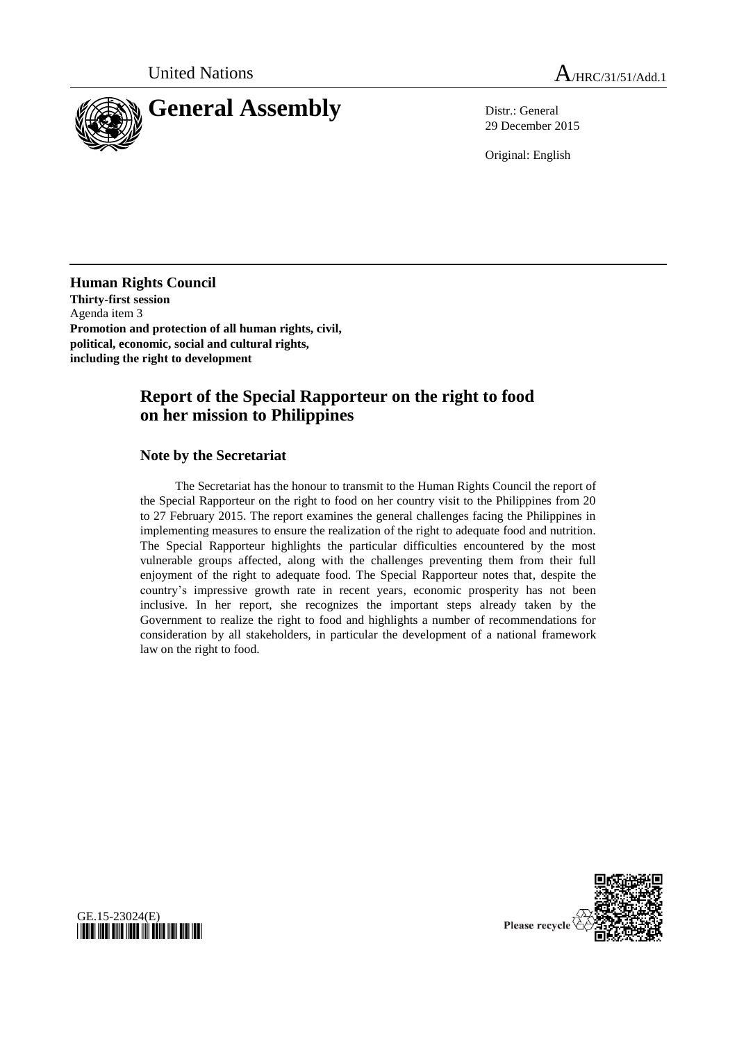

29 December 2015

Original: English

**Human Rights Council Thirty-first session** Agenda item 3 **Promotion and protection of all human rights, civil, political, economic, social and cultural rights, including the right to development**

# **Report of the Special Rapporteur on the right to food on her mission to Philippines**

#### **Note by the Secretariat**

GE.15-23024(E)

*\*1523024\**

The Secretariat has the honour to transmit to the Human Rights Council the report of the Special Rapporteur on the right to food on her country visit to the Philippines from 20 to 27 February 2015. The report examines the general challenges facing the Philippines in implementing measures to ensure the realization of the right to adequate food and nutrition. The Special Rapporteur highlights the particular difficulties encountered by the most vulnerable groups affected, along with the challenges preventing them from their full enjoyment of the right to adequate food. The Special Rapporteur notes that, despite the country's impressive growth rate in recent years, economic prosperity has not been inclusive. In her report, she recognizes the important steps already taken by the Government to realize the right to food and highlights a number of recommendations for consideration by all stakeholders, in particular the development of a national framework law on the right to food.

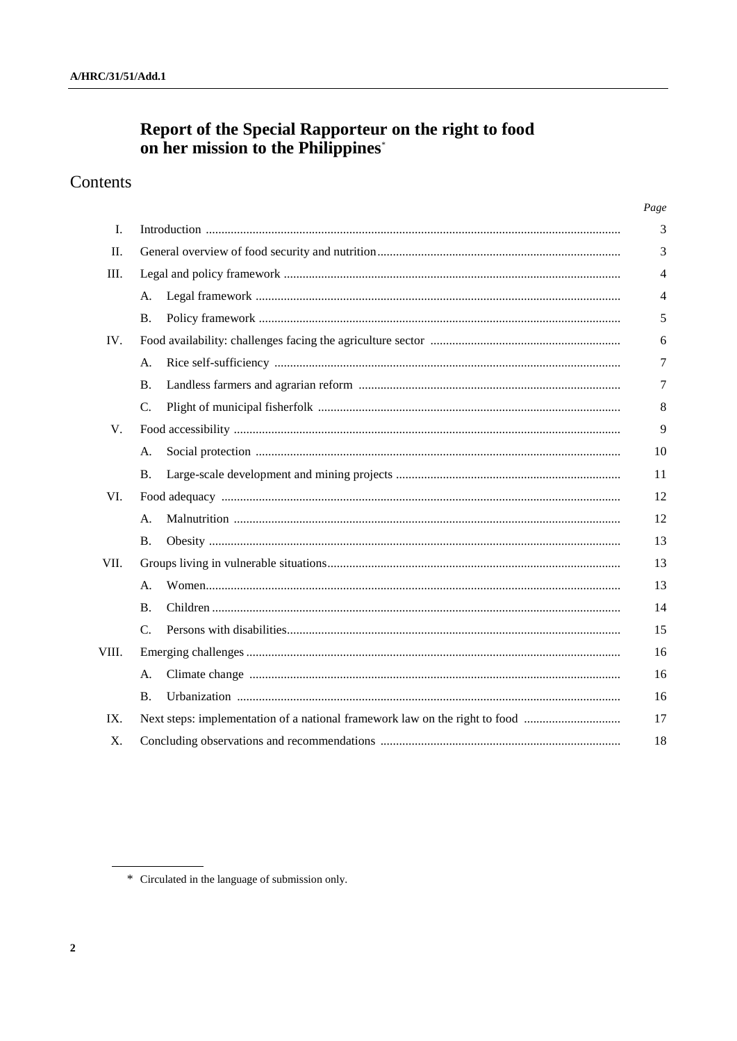# Report of the Special Rapporteur on the right to food<br>on her mission to the Philippines<sup>\*</sup>

# Contents

|       |           | Page           |
|-------|-----------|----------------|
| I.    |           | 3              |
| Π.    |           | 3              |
| III.  |           | $\overline{4}$ |
|       | A.        | $\overline{4}$ |
|       | B.        | 5              |
| IV.   |           | 6              |
|       | A.        | 7              |
|       | <b>B.</b> | 7              |
|       | C.        | 8              |
| V.    |           | 9              |
|       | А.        | 10             |
|       | <b>B.</b> | 11             |
| VI.   |           | 12             |
|       | А.        | 12             |
|       | <b>B.</b> | 13             |
| VII.  |           | 13             |
|       | A.        | 13             |
|       | <b>B.</b> | 14             |
|       | C.        | 15             |
| VIII. |           | 16             |
|       | A.        | 16             |
|       | Β.        | 16             |
| IX.   |           | 17             |
| Χ.    |           | 18             |

<sup>\*</sup> Circulated in the language of submission only.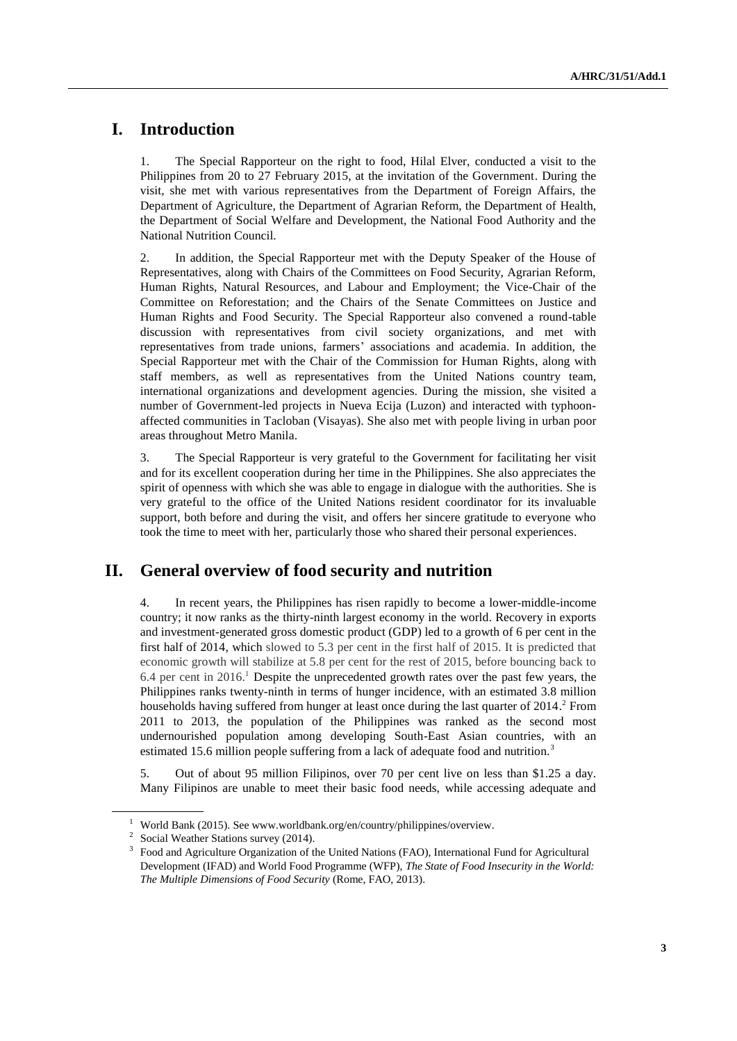# **I. Introduction**

1. The Special Rapporteur on the right to food, Hilal Elver, conducted a visit to the Philippines from 20 to 27 February 2015, at the invitation of the Government. During the visit, she met with various representatives from the Department of Foreign Affairs, the Department of Agriculture, the Department of Agrarian Reform, the Department of Health, the Department of Social Welfare and Development, the National Food Authority and the National Nutrition Council.

2. In addition, the Special Rapporteur met with the Deputy Speaker of the House of Representatives, along with Chairs of the Committees on Food Security, Agrarian Reform, Human Rights, Natural Resources, and Labour and Employment; the Vice-Chair of the Committee on Reforestation; and the Chairs of the Senate Committees on Justice and Human Rights and Food Security. The Special Rapporteur also convened a round-table discussion with representatives from civil society organizations, and met with representatives from trade unions, farmers' associations and academia. In addition, the Special Rapporteur met with the Chair of the Commission for Human Rights, along with staff members, as well as representatives from the United Nations country team, international organizations and development agencies. During the mission, she visited a number of Government-led projects in Nueva Ecija (Luzon) and interacted with typhoonaffected communities in Tacloban (Visayas). She also met with people living in urban poor areas throughout Metro Manila.

3. The Special Rapporteur is very grateful to the Government for facilitating her visit and for its excellent cooperation during her time in the Philippines. She also appreciates the spirit of openness with which she was able to engage in dialogue with the authorities. She is very grateful to the office of the United Nations resident coordinator for its invaluable support, both before and during the visit, and offers her sincere gratitude to everyone who took the time to meet with her, particularly those who shared their personal experiences.

# **II. General overview of food security and nutrition**

4. In recent years, the Philippines has risen rapidly to become a lower-middle-income country; it now ranks as the thirty-ninth largest economy in the world. Recovery in exports and investment-generated gross domestic product (GDP) led to a growth of 6 per cent in the first half of 2014, which slowed to 5.3 per cent in the first half of 2015. It is predicted that economic growth will stabilize at 5.8 per cent for the rest of 2015, before bouncing back to 6.4 per cent in 2016. <sup>1</sup> Despite the unprecedented growth rates over the past few years, the Philippines ranks twenty-ninth in terms of hunger incidence, with an estimated 3.8 million households having suffered from hunger at least once during the last quarter of 2014. <sup>2</sup> From 2011 to 2013, the population of the Philippines was ranked as the second most undernourished population among developing South-East Asian countries, with an estimated 15.6 million people suffering from a lack of adequate food and nutrition.<sup>3</sup>

5. Out of about 95 million Filipinos, over 70 per cent live on less than \$1.25 a day. Many Filipinos are unable to meet their basic food needs, while accessing adequate and

<sup>&</sup>lt;sup>1</sup> World Bank (2015). See www.worldbank.org/en/country/philippines/overview.

<sup>&</sup>lt;sup>2</sup> Social Weather Stations survey (2014).

<sup>3</sup> Food and Agriculture Organization of the United Nations (FAO), International Fund for Agricultural Development (IFAD) and World Food Programme (WFP), *The State of Food Insecurity in the World: The Multiple Dimensions of Food Security* (Rome, FAO, 2013).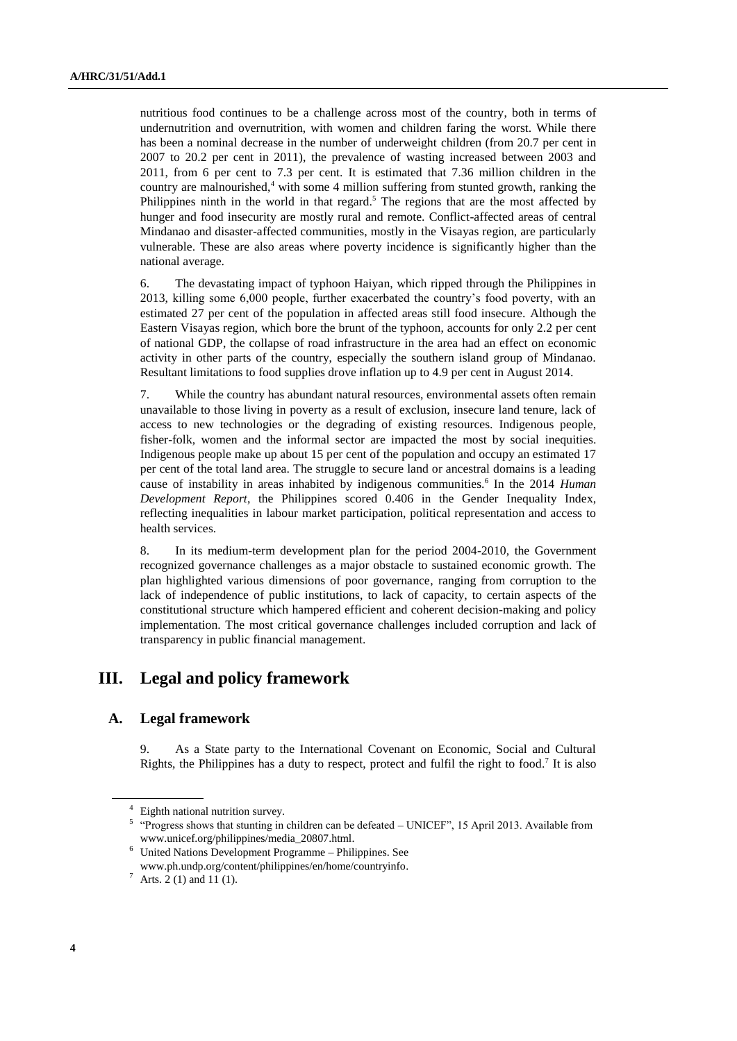nutritious food continues to be a challenge across most of the country, both in terms of undernutrition and overnutrition, with women and children faring the worst. While there has been a nominal decrease in the number of underweight children (from 20.7 per cent in 2007 to 20.2 per cent in 2011), the prevalence of wasting increased between 2003 and 2011, from 6 per cent to 7.3 per cent. It is estimated that 7.36 million children in the country are malnourished, $4$  with some 4 million suffering from stunted growth, ranking the Philippines ninth in the world in that regard.<sup>5</sup> The regions that are the most affected by hunger and food insecurity are mostly rural and remote. Conflict-affected areas of central Mindanao and disaster-affected communities, mostly in the Visayas region, are particularly vulnerable. These are also areas where poverty incidence is significantly higher than the national average.

6. The devastating impact of typhoon Haiyan, which ripped through the Philippines in 2013, killing some 6,000 people, further exacerbated the country's food poverty, with an estimated 27 per cent of the population in affected areas still food insecure. Although the Eastern Visayas region, which bore the brunt of the typhoon, accounts for only 2.2 per cent of national GDP, the collapse of road infrastructure in the area had an effect on economic activity in other parts of the country, especially the southern island group of Mindanao. Resultant limitations to food supplies drove inflation up to 4.9 per cent in August 2014.

7. While the country has abundant natural resources, environmental assets often remain unavailable to those living in poverty as a result of exclusion, insecure land tenure, lack of access to new technologies or the degrading of existing resources. Indigenous people, fisher-folk, women and the informal sector are impacted the most by social inequities. Indigenous people make up about 15 per cent of the population and occupy an estimated 17 per cent of the total land area. The struggle to secure land or ancestral domains is a leading cause of instability in areas inhabited by indigenous communities.<sup>6</sup> In the 2014 *Human Development Report*, the Philippines scored 0.406 in the Gender Inequality Index, reflecting inequalities in labour market participation, political representation and access to health services.

8. In its medium-term development plan for the period 2004-2010, the Government recognized governance challenges as a major obstacle to sustained economic growth. The plan highlighted various dimensions of poor governance, ranging from corruption to the lack of independence of public institutions, to lack of capacity, to certain aspects of the constitutional structure which hampered efficient and coherent decision-making and policy implementation. The most critical governance challenges included corruption and lack of transparency in public financial management.

## **III. Legal and policy framework**

#### **A. Legal framework**

9. As a State party to the International Covenant on Economic, Social and Cultural Rights, the Philippines has a duty to respect, protect and fulfil the right to food.<sup>7</sup> It is also

<sup>4</sup> Eighth national nutrition survey.

<sup>&</sup>lt;sup>5</sup> "Progress shows that stunting in children can be defeated – UNICEF", 15 April 2013. Available from www.unicef.org/philippines/media\_20807.html.

<sup>6</sup> United Nations Development Programme – Philippines. See [www.ph.undp.org/content/philippines/en/home/countryinfo.](http://www.ph.undp.org/content/philippines/en/home/countryinfo/)

<sup>&</sup>lt;sup>7</sup> Arts. 2 (1) and 11 (1).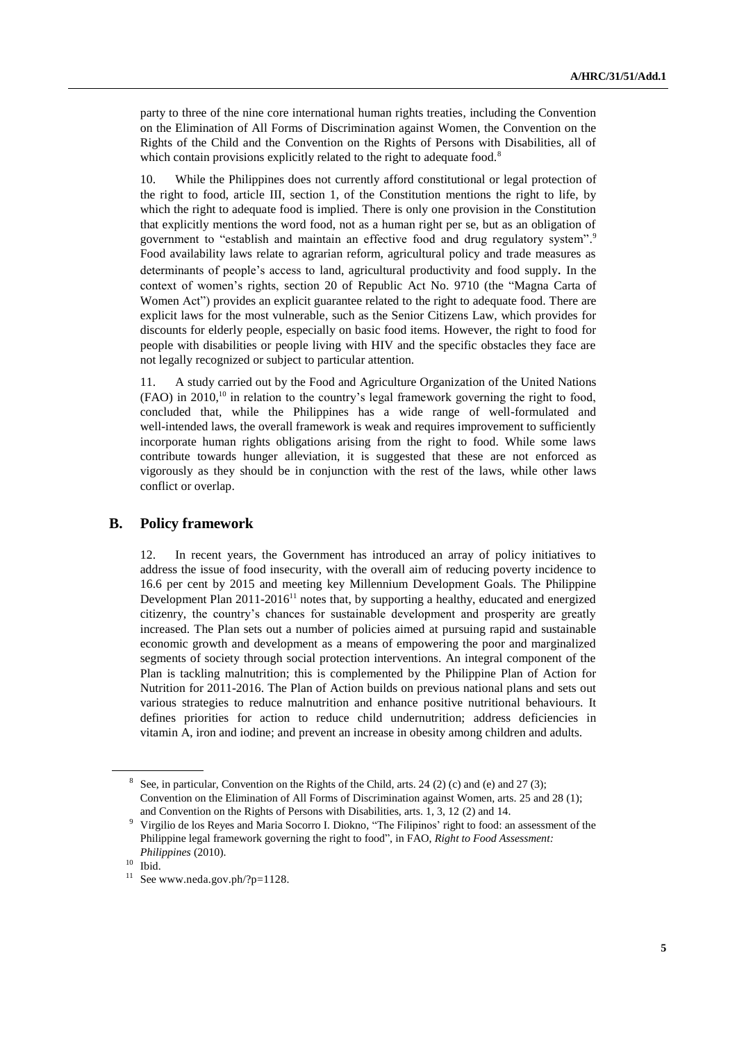party to three of the nine core international human rights treaties, including the Convention on the Elimination of All Forms of Discrimination against Women, the Convention on the Rights of the Child and the Convention on the Rights of Persons with Disabilities, all of which contain provisions explicitly related to the right to adequate food.<sup>8</sup>

10. While the Philippines does not currently afford constitutional or legal protection of the right to food, article III, section 1, of the Constitution mentions the right to life, by which the right to adequate food is implied. There is only one provision in the Constitution that explicitly mentions the word food, not as a human right per se, but as an obligation of government to "establish and maintain an effective food and drug regulatory system".<sup>9</sup> Food availability laws relate to agrarian reform, agricultural policy and trade measures as determinants of people's access to land, agricultural productivity and food supply. In the context of women's rights, section 20 of Republic Act No. 9710 (the "Magna Carta of Women Act") provides an explicit guarantee related to the right to adequate food. There are explicit laws for the most vulnerable, such as the Senior Citizens Law, which provides for discounts for elderly people, especially on basic food items. However, the right to food for people with disabilities or people living with HIV and the specific obstacles they face are not legally recognized or subject to particular attention.

11. A study carried out by the Food and Agriculture Organization of the United Nations (FAO) in 2010, <sup>10</sup> in relation to the country's legal framework governing the right to food, concluded that, while the Philippines has a wide range of well-formulated and well-intended laws, the overall framework is weak and requires improvement to sufficiently incorporate human rights obligations arising from the right to food. While some laws contribute towards hunger alleviation, it is suggested that these are not enforced as vigorously as they should be in conjunction with the rest of the laws, while other laws conflict or overlap.

#### **B. Policy framework**

12. In recent years, the Government has introduced an array of policy initiatives to address the issue of food insecurity, with the overall aim of reducing poverty incidence to 16.6 per cent by 2015 and meeting key Millennium Development Goals. The Philippine Development Plan  $2011$ - $2016$ <sup>11</sup> notes that, by supporting a healthy, educated and energized citizenry, the country's chances for sustainable development and prosperity are greatly increased. The Plan sets out a number of policies aimed at pursuing rapid and sustainable [economic growth](http://www.forextradingaustralia.com.au/utilizing-economic-calendars/) and development as a means of empowering the poor and marginalized segments of society through social protection interventions. An integral component of the Plan is tackling malnutrition; this is complemented by the Philippine Plan of Action for Nutrition for 2011-2016. The Plan of Action builds on previous national plans and sets out various strategies to reduce malnutrition and enhance positive nutritional behaviours. It defines priorities for action to reduce child undernutrition; address deficiencies in vitamin A, iron and iodine; and prevent an increase in obesity among children and adults.

<sup>&</sup>lt;sup>8</sup> See, in particular, Convention on the Rights of the Child, arts. 24 (2) (c) and (e) and 27 (3); Convention on the Elimination of All Forms of Discrimination against Women, arts. 25 and 28 (1); and Convention on the Rights of Persons with Disabilities, arts. 1, 3, 12 (2) and 14.

<sup>9</sup> Virgilio de los Reyes and Maria Socorro I. Diokno, "The Filipinos' right to food: an assessment of the Philippine legal framework governing the right to food", in FAO, *Right to Food Assessment: Philippines* (2010).

 $10$  Ibid.

 $11$  See www.neda.gov.ph/?p=1128.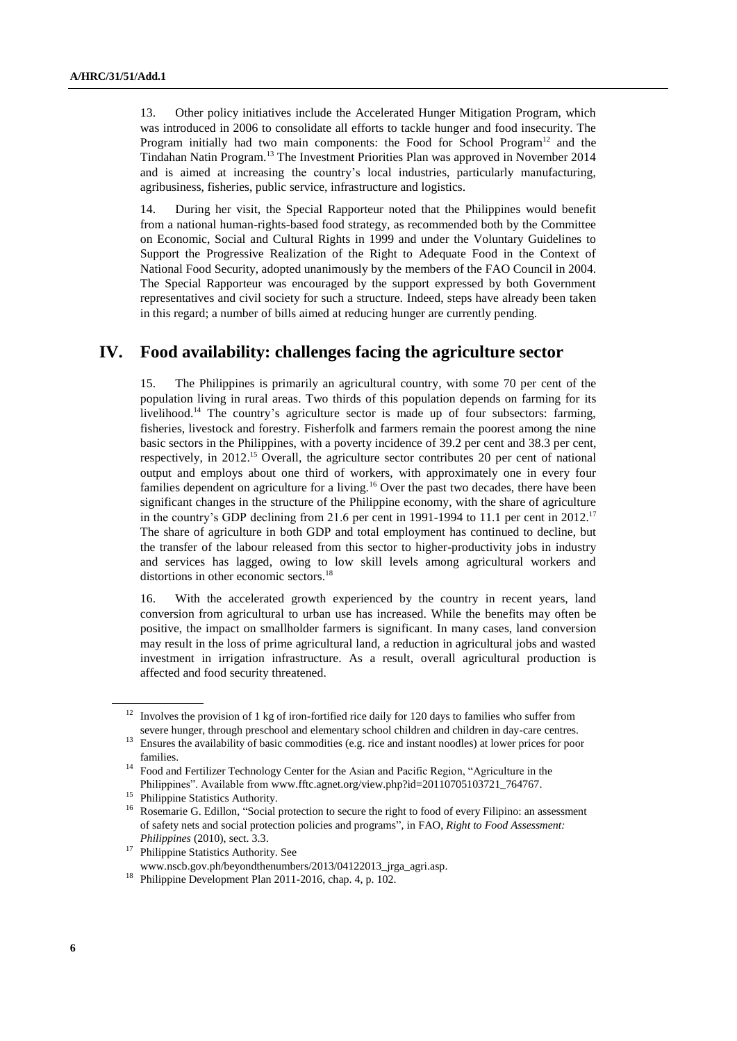13. Other policy initiatives include the Accelerated Hunger Mitigation Program, which was introduced in 2006 to consolidate all efforts to tackle hunger and food insecurity. The Program initially had two main components: the Food for School Program $12$  and the Tindahan Natin Program. <sup>13</sup> The Investment Priorities Plan was approved in November 2014 and is aimed at increasing the country's local industries, particularly manufacturing, agribusiness, fisheries, public service, infrastructure and logistics.

14. During her visit, the Special Rapporteur noted that the Philippines would benefit from a national human-rights-based food strategy, as recommended both by the Committee on Economic, Social and Cultural Rights in 1999 and under the Voluntary Guidelines to Support the Progressive Realization of the Right to Adequate Food in the Context of National Food Security, adopted unanimously by the members of the FAO Council in 2004. The Special Rapporteur was encouraged by the support expressed by both Government representatives and civil society for such a structure. Indeed, steps have already been taken in this regard; a number of bills aimed at reducing hunger are currently pending.

# **IV. Food availability: challenges facing the agriculture sector**

15. The Philippines is primarily an agricultural country, with some 70 per cent of the population living in rural areas. Two thirds of this population depends on farming for its livelihood.<sup>14</sup> The country's agriculture sector is made up of four subsectors: farming, fisheries, livestock and forestry. Fisherfolk and farmers remain the poorest among the nine basic sectors in the Philippines, with a poverty incidence of 39.2 per cent and 38.3 per cent, respectively, in 2012.<sup>15</sup> Overall, the agriculture sector contributes 20 per cent of national output and employs about one third of workers, with approximately one in every four families dependent on agriculture for a living.<sup>16</sup> Over the past two decades, there have been significant changes in the structure of the Philippine economy, with the share of agriculture in the country's GDP declining from 21.6 per cent in 1991-1994 to 11.1 per cent in 2012.<sup>17</sup> The share of agriculture in both GDP and total employment has continued to decline, but the transfer of the labour released from this sector to higher-productivity jobs in industry and services has lagged, owing to low skill levels among agricultural workers and distortions in other economic sectors. 18

16. With the accelerated growth experienced by the country in recent years, land conversion from agricultural to urban use has increased. While the benefits may often be positive, the impact on smallholder farmers is significant. In many cases, land conversion may result in the loss of prime agricultural land, a reduction in agricultural jobs and wasted investment in irrigation infrastructure. As a result, overall agricultural production is affected and food security threatened.

 $17$  Philippine Statistics Authority. See www.nscb.gov.ph/beyondthenumbers/2013/04122013\_jrga\_agri.asp.

 $12$  Involves the provision of 1 kg of iron-fortified rice daily for 120 days to families who suffer from severe hunger, through preschool and elementary school children and children in day-care centres.

<sup>&</sup>lt;sup>13</sup> Ensures the availability of basic commodities (e.g. rice and instant noodles) at lower prices for poor families.

<sup>&</sup>lt;sup>14</sup> Food and Fertilizer Technology Center for the Asian and Pacific Region, "Agriculture in the Philippines". Available from [www.fftc.agnet.org/view.php?id=20110705103721\\_764767.](http://www.fftc.agnet.org/view.php?id=20110705103721_764767)

<sup>&</sup>lt;sup>15</sup> Philippine Statistics Authority.

<sup>&</sup>lt;sup>16</sup> Rosemarie G. Edillon, "Social protection to secure the right to food of every Filipino: an assessment of safety nets and social protection policies and programs", in FAO, *Right to Food Assessment: Philippines* (2010), sect. 3.3.

<sup>18</sup> Philippine Development Plan 2011-2016, chap. 4, p. 102.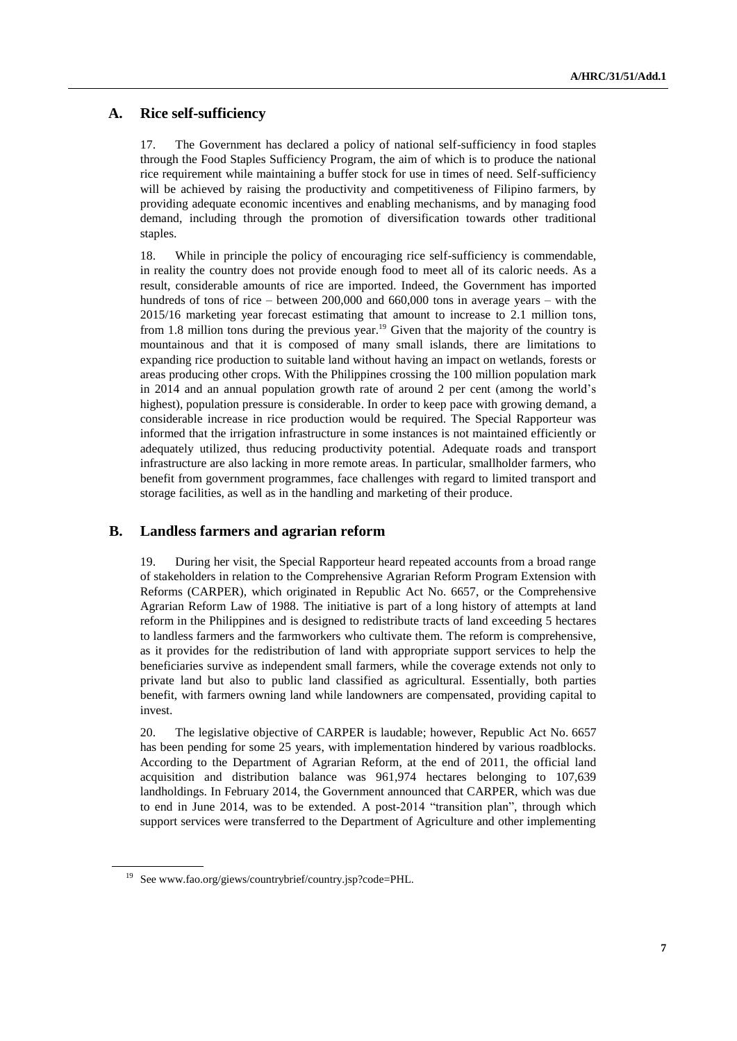#### **A. Rice self-sufficiency**

17. The Government has declared a policy of national self-sufficiency in food staples through the Food Staples Sufficiency Program, the aim of which is to produce the national rice requirement while maintaining a buffer stock for use in times of need. Self-sufficiency will be achieved by raising the productivity and competitiveness of Filipino farmers, by providing adequate economic incentives and enabling mechanisms, and by managing food demand, including through the promotion of diversification towards other traditional staples.

18. While in principle the policy of encouraging rice self-sufficiency is commendable, in reality the country does not provide enough food to meet all of its caloric needs. As a result, considerable amounts of rice are imported. Indeed, the Government has imported hundreds of tons of rice – between 200,000 and 660,000 tons in average years – with the 2015/16 marketing year forecast estimating that amount to increase to 2.1 million tons, from 1.8 million tons during the previous year.<sup>19</sup> Given that the majority of the country is mountainous and that it is composed of many small islands, there are limitations to expanding rice production to suitable land without having an impact on wetlands, forests or areas producing other crops. With the Philippines crossing the 100 million population mark in 2014 and an annual population growth rate of around 2 per cent (among the world's highest), population pressure is considerable. In order to keep pace with growing demand, a considerable increase in rice production would be required. The Special Rapporteur was informed that the irrigation infrastructure in some instances is not maintained efficiently or adequately utilized, thus reducing productivity potential. Adequate roads and transport infrastructure are also lacking in more remote areas. In particular, smallholder farmers, who benefit from government programmes, face challenges with regard to limited transport and storage facilities, as well as in the handling and marketing of their produce.

#### **B. Landless farmers and agrarian reform**

19. During her visit, the Special Rapporteur heard repeated accounts from a broad range of stakeholders in relation to the Comprehensive Agrarian Reform Program Extension with Reforms (CARPER), which originated in Republic Act No. 6657, or the Comprehensive Agrarian Reform Law of 1988. The initiative is part of a long history of attempts at [land](http://en.wikipedia.org/wiki/Land_reform_in_the_Philippines)  [reform in the Philippines](http://en.wikipedia.org/wiki/Land_reform_in_the_Philippines) and is designed to redistribute tracts of land exceeding 5 hectares to landless farmers and the farmworkers who cultivate them. The reform is comprehensive, as it provides for the redistribution of land with appropriate support services to help the beneficiaries survive as independent small farmers, while the coverage extends not only to private land but also to public land classified as agricultural. Essentially, both parties benefit, with farmers owning land while landowners are compensated, providing capital to invest.

20. The legislative objective of CARPER is laudable; however, Republic Act No. 6657 has been pending for some 25 years, with implementation hindered by various roadblocks. According to the Department of Agrarian Reform, at the end of 2011, the official land acquisition and distribution balance was 961,974 hectares belonging to 107,639 landholdings. In February 2014, the Government announced that CARPER, which was due to end in June 2014, was to be extended. A post-2014 "transition plan", through which support services were transferred to the Department of Agriculture and other implementing

<sup>19</sup> See www.fao.org/giews/countrybrief/country.jsp?code=PHL.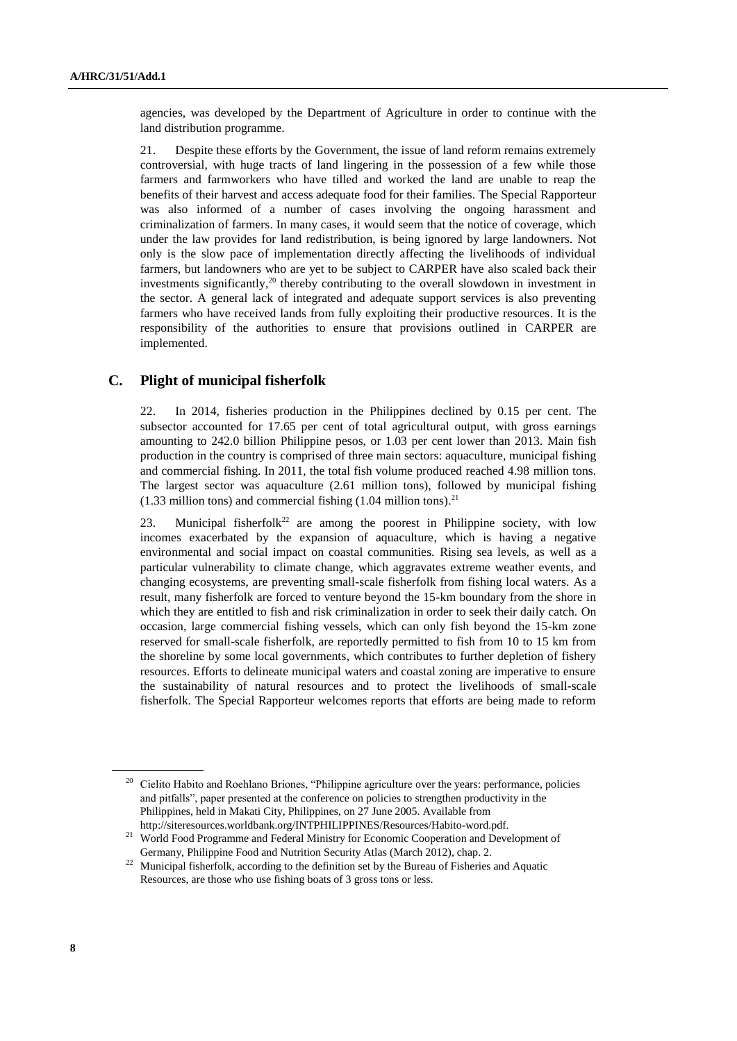agencies, was developed by the Department of Agriculture in order to continue with the land distribution programme.

21. Despite these efforts by the Government, the issue of land reform remains extremely controversial, with huge tracts of land lingering in the possession of a few while those farmers and farmworkers who have tilled and worked the land are unable to reap the benefits of their harvest and access adequate food for their families. The Special Rapporteur was also informed of a number of cases involving the ongoing harassment and criminalization of farmers. In many cases, it would seem that the notice of coverage, which under the law provides for land redistribution, is being ignored by large landowners. Not only is the slow pace of implementation directly affecting the livelihoods of individual farmers, but landowners who are yet to be subject to CARPER have also scaled back their investments significantly, $2^0$  thereby contributing to the overall slowdown in investment in the sector. A general lack of integrated and adequate support services is also preventing farmers who have received lands from fully exploiting their productive resources. It is the responsibility of the authorities to ensure that provisions outlined in CARPER are implemented.

#### **C. Plight of municipal fisherfolk**

22. In 2014, fisheries production in the Philippines declined by 0.15 per cent. The subsector accounted for 17.65 per cent of total agricultural output, with gross earnings amounting to 242.0 billion Philippine pesos, or 1.03 per cent lower than 2013. Main fish production in the country is comprised of three main sectors: aquaculture, municipal fishing and commercial fishing. In 2011, the total fish volume produced reached 4.98 million tons. The largest sector was aquaculture (2.61 million tons), followed by municipal fishing  $(1.33$  million tons) and commercial fishing  $(1.04$  million tons).<sup>21</sup>

23. Municipal fisherfolk<sup>22</sup> are among the poorest in Philippine society, with low incomes exacerbated by the expansion of aquaculture, which is having a negative environmental and social impact on coastal communities. Rising sea levels, as well as a particular vulnerability to climate change, which aggravates extreme weather events, and changing ecosystems, are preventing small-scale fisherfolk from fishing local waters. As a result, many fisherfolk are forced to venture beyond the 15-km boundary from the shore in which they are entitled to fish and risk criminalization in order to seek their daily catch. On occasion, large commercial fishing vessels, which can only fish beyond the 15-km zone reserved for small-scale fisherfolk, are reportedly permitted to fish from 10 to 15 km from the shoreline by some local governments, which contributes to further depletion of fishery resources. Efforts to delineate municipal waters and coastal zoning are imperative to ensure the sustainability of natural resources and to protect the livelihoods of small-scale fisherfolk. The Special Rapporteur welcomes reports that efforts are being made to reform

<sup>&</sup>lt;sup>20</sup> Cielito Habito and Roehlano Briones, "Philippine agriculture over the years: performance, policies and pitfalls", paper presented at the conference on policies to strengthen productivity in the Philippines, held in Makati City, Philippines, on 27 June 2005. Available from http://siteresources.worldbank.org/INTPHILIPPINES/Resources/Habito-word.pdf.

<sup>&</sup>lt;sup>21</sup> World Food Programme and Federal Ministry for Economic Cooperation and Development of Germany, Philippine Food and Nutrition Security Atlas (March 2012), chap. 2.

<sup>&</sup>lt;sup>22</sup> Municipal fisherfolk, according to the definition set by the Bureau of Fisheries and Aquatic Resources, are those who use fishing boats of 3 gross tons or less.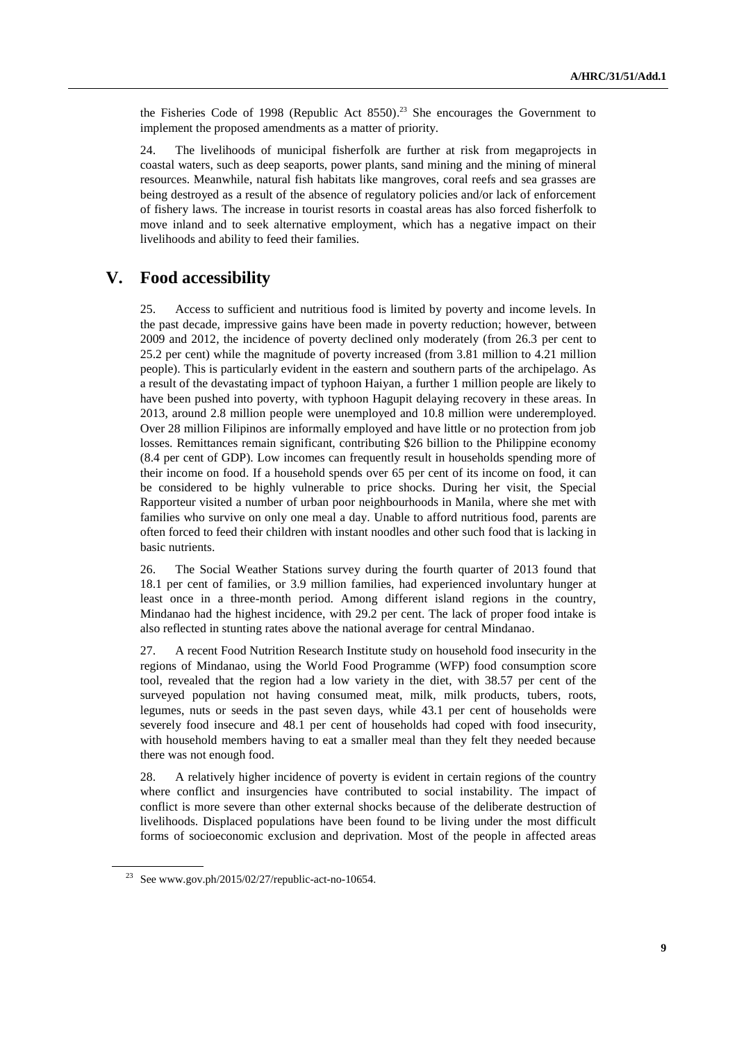the Fisheries Code of 1998 (Republic Act  $8550$ ).<sup>23</sup> She encourages the Government to implement the proposed amendments as a matter of priority.

24. The livelihoods of municipal fisherfolk are further at risk from megaprojects in coastal waters, such as deep seaports, power plants, sand mining and the mining of mineral resources. Meanwhile, natural fish habitats like mangroves, coral reefs and sea grasses are being destroyed as a result of the absence of regulatory policies and/or lack of enforcement of fishery laws. The increase in tourist resorts in coastal areas has also forced fisherfolk to move inland and to seek alternative employment, which has a negative impact on their livelihoods and ability to feed their families.

## **V. Food accessibility**

25. Access to sufficient and nutritious food is limited by poverty and income levels. In the past decade, impressive gains have been made in poverty reduction; however, between 2009 and 2012, the incidence of poverty declined only moderately (from 26.3 per cent to 25.2 per cent) while the magnitude of poverty increased (from 3.81 million to 4.21 million people). This is particularly evident in the eastern and southern parts of the archipelago. As a result of the devastating impact of typhoon Haiyan, a further 1 million people are likely to have been pushed into poverty, with typhoon Hagupit delaying recovery in these areas. In 2013, around 2.8 million people were unemployed and 10.8 million were underemployed. Over 28 million Filipinos are informally employed and have little or no protection from job losses. Remittances remain significant, contributing \$26 billion to the Philippine economy (8.4 per cent of GDP). Low incomes can frequently result in households spending more of their income on food. If a household spends over 65 per cent of its income on food, it can be considered to be highly vulnerable to price shocks. During her visit, the Special Rapporteur visited a number of urban poor neighbourhoods in Manila, where she met with families who survive on only one meal a day. Unable to afford nutritious food, parents are often forced to feed their children with instant noodles and other such food that is lacking in basic nutrients.

26. The Social Weather Stations survey during the fourth quarter of 2013 found that 18.1 per cent of families, or 3.9 million families, had experienced involuntary hunger at least once in a three-month period. Among different island regions in the country, Mindanao had the highest incidence, with 29.2 per cent. The lack of proper food intake is also reflected in stunting rates above the national average for central Mindanao.

27. A recent Food Nutrition Research Institute study on household food insecurity in the regions of Mindanao, using the World Food Programme (WFP) food consumption score tool, revealed that the region had a low variety in the diet, with 38.57 per cent of the surveyed population not having consumed meat, milk, milk products, tubers, roots, legumes, nuts or seeds in the past seven days, while 43.1 per cent of households were severely food insecure and 48.1 per cent of households had coped with food insecurity, with household members having to eat a smaller meal than they felt they needed because there was not enough food.

28. A relatively higher incidence of poverty is evident in certain regions of the country where conflict and insurgencies have contributed to social instability. The impact of conflict is more severe than other external shocks because of the deliberate destruction of livelihoods. Displaced populations have been found to be living under the most difficult forms of socioeconomic exclusion and deprivation. Most of the people in affected areas

<sup>23</sup> See www.gov.ph/2015/02/27/republic-act-no-10654.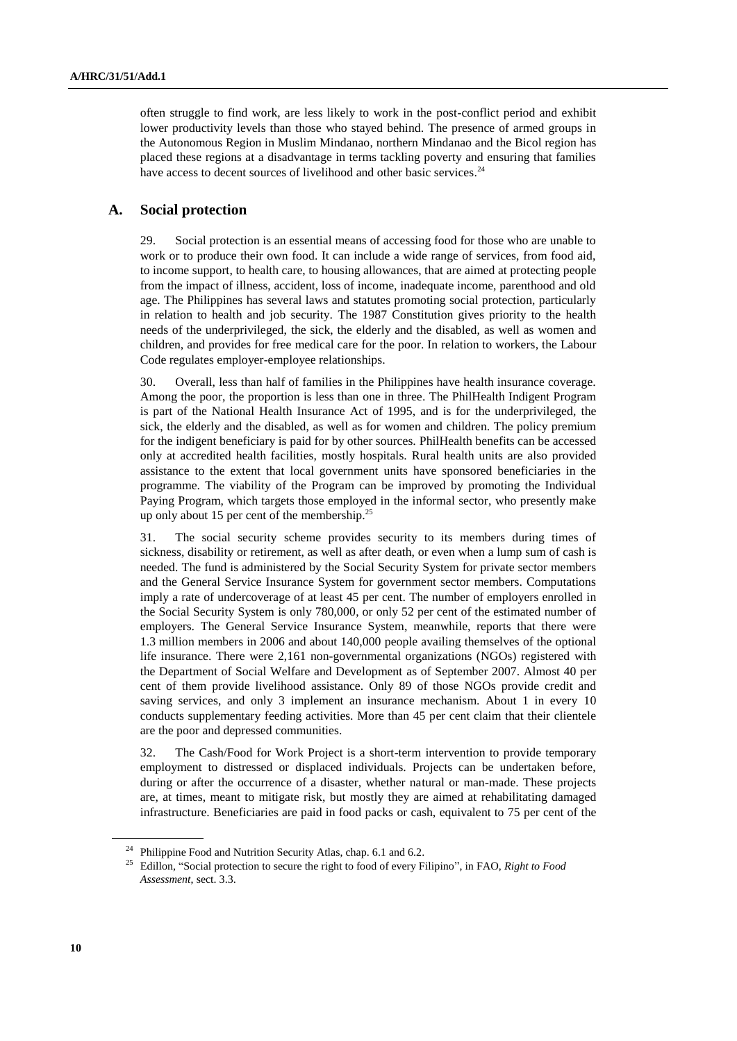often struggle to find work, are less likely to work in the post-conflict period and exhibit lower productivity levels than those who stayed behind. The presence of armed groups in the Autonomous Region in Muslim Mindanao, northern Mindanao and the Bicol region has placed these regions at a disadvantage in terms tackling poverty and ensuring that families have access to decent sources of livelihood and other basic services.<sup>24</sup>

#### **A. Social protection**

29. Social protection is an essential means of accessing food for those who are unable to work or to produce their own food. It can include a wide range of services, from food aid, to income support, to health care, to housing allowances, that are aimed at protecting people from the impact of illness, accident, loss of income, inadequate income, parenthood and old age. The Philippines has several laws and statutes promoting social protection, particularly in relation to health and job security. The 1987 Constitution gives priority to the health needs of the underprivileged, the sick, the elderly and the disabled, as well as women and children, and provides for free medical care for the poor. In relation to workers, the Labour Code regulates employer-employee relationships.

30. Overall, less than half of families in the Philippines have health insurance coverage. Among the poor, the proportion is less than one in three. The PhilHealth Indigent Program is part of the National Health Insurance Act of 1995, and is for the underprivileged, the sick, the elderly and the disabled, as well as for women and children. The policy premium for the indigent beneficiary is paid for by other sources. PhilHealth benefits can be accessed only at accredited health facilities, mostly hospitals. Rural health units are also provided assistance to the extent that local government units have sponsored beneficiaries in the programme. The viability of the Program can be improved by promoting the Individual Paying Program, which targets those employed in the informal sector, who presently make up only about 15 per cent of the membership. $25$ 

31. The social security scheme provides security to its members during times of sickness, disability or retirement, as well as after death, or even when a lump sum of cash is needed. The fund is administered by the Social Security System for private sector members and the General Service Insurance System for government sector members. Computations imply a rate of undercoverage of at least 45 per cent. The number of employers enrolled in the Social Security System is only 780,000, or only 52 per cent of the estimated number of employers. The General Service Insurance System, meanwhile, reports that there were 1.3 million members in 2006 and about 140,000 people availing themselves of the optional life insurance. There were 2,161 non-governmental organizations (NGOs) registered with the Department of Social Welfare and Development as of September 2007. Almost 40 per cent of them provide livelihood assistance. Only 89 of those NGOs provide credit and saving services, and only 3 implement an insurance mechanism. About 1 in every 10 conducts supplementary feeding activities. More than 45 per cent claim that their clientele are the poor and depressed communities.

32. The Cash/Food for Work Project is a short-term intervention to provide temporary employment to distressed or displaced individuals. Projects can be undertaken before, during or after the occurrence of a disaster, whether natural or man-made. These projects are, at times, meant to mitigate risk, but mostly they are aimed at rehabilitating damaged infrastructure. Beneficiaries are paid in food packs or cash, equivalent to 75 per cent of the

<sup>&</sup>lt;sup>24</sup> Philippine Food and Nutrition Security Atlas, chap. 6.1 and 6.2.

<sup>25</sup> Edillon, "Social protection to secure the right to food of every Filipino", in FAO, *Right to Food Assessment*, sect. 3.3.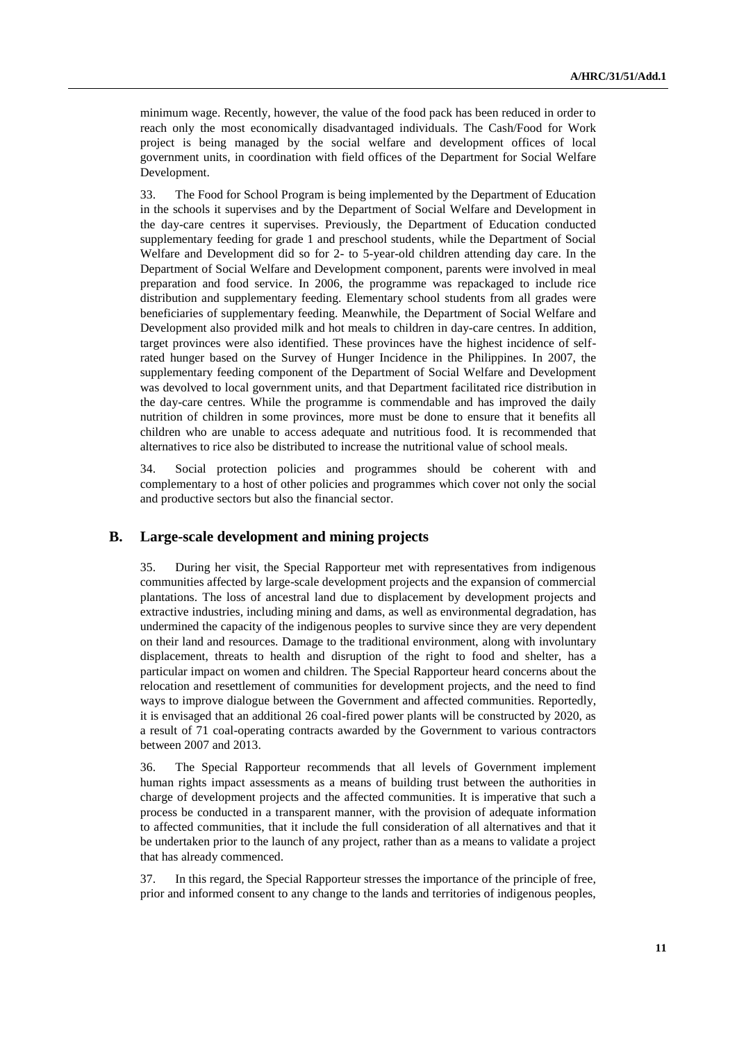minimum wage. Recently, however, the value of the food pack has been reduced in order to reach only the most economically disadvantaged individuals. The Cash/Food for Work project is being managed by the social welfare and development offices of local government units, in coordination with field offices of the Department for Social Welfare Development.

33. The Food for School Program is being implemented by the Department of Education in the schools it supervises and by the Department of Social Welfare and Development in the day-care centres it supervises. Previously, the Department of Education conducted supplementary feeding for grade 1 and preschool students, while the Department of Social Welfare and Development did so for 2- to 5-year-old children attending day care. In the Department of Social Welfare and Development component, parents were involved in meal preparation and food service. In 2006, the programme was repackaged to include rice distribution and supplementary feeding. Elementary school students from all grades were beneficiaries of supplementary feeding. Meanwhile, the Department of Social Welfare and Development also provided milk and hot meals to children in day-care centres. In addition, target provinces were also identified. These provinces have the highest incidence of selfrated hunger based on the Survey of Hunger Incidence in the Philippines. In 2007, the supplementary feeding component of the Department of Social Welfare and Development was devolved to local government units, and that Department facilitated rice distribution in the day-care centres. While the programme is commendable and has improved the daily nutrition of children in some provinces, more must be done to ensure that it benefits all children who are unable to access adequate and nutritious food. It is recommended that alternatives to rice also be distributed to increase the nutritional value of school meals.

34. Social protection policies and programmes should be coherent with and complementary to a host of other policies and programmes which cover not only the social and productive sectors but also the financial sector.

#### **B. Large-scale development and mining projects**

35. During her visit, the Special Rapporteur met with representatives from indigenous communities affected by large-scale development projects and the expansion of commercial plantations. The loss of ancestral land due to displacement by development projects and extractive industries, including mining and dams, as well as environmental degradation, has undermined the capacity of the indigenous peoples to survive since they are very dependent on their land and resources. Damage to the traditional environment, along with involuntary displacement, threats to health and disruption of the right to food and shelter, has a particular impact on women and children. The Special Rapporteur heard concerns about the relocation and resettlement of communities for development projects, and the need to find ways to improve dialogue between the Government and affected communities. Reportedly, it is envisaged that an additional 26 coal-fired power plants will be constructed by 2020, as a result of 71 coal-operating contracts awarded by the Government to various contractors between 2007 and 2013.

36. The Special Rapporteur recommends that all levels of Government implement human rights impact assessments as a means of building trust between the authorities in charge of development projects and the affected communities. It is imperative that such a process be conducted in a transparent manner, with the provision of adequate information to affected communities, that it include the full consideration of all alternatives and that it be undertaken prior to the launch of any project, rather than as a means to validate a project that has already commenced.

37. In this regard, the Special Rapporteur stresses the importance of the principle of free, prior and informed consent to any change to the lands and territories of indigenous peoples,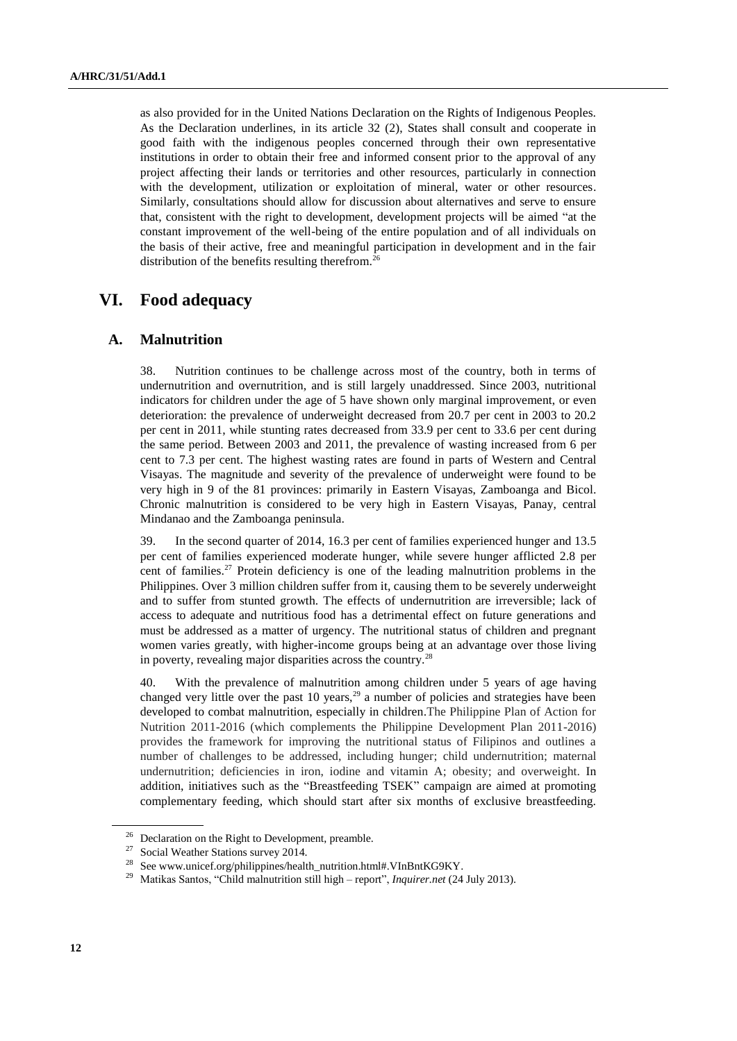as also provided for in the United Nations Declaration on the Rights of Indigenous Peoples. As the Declaration underlines, in its article 32 (2), States shall consult and cooperate in good faith with the indigenous peoples concerned through their own representative institutions in order to obtain their free and informed consent prior to the approval of any project affecting their lands or territories and other resources, particularly in connection with the development, utilization or exploitation of mineral, water or other resources. Similarly, consultations should allow for discussion about alternatives and serve to ensure that, consistent with the right to development, development projects will be aimed "at the constant improvement of the well-being of the entire population and of all individuals on the basis of their active, free and meaningful participation in development and in the fair distribution of the benefits resulting therefrom.<sup>26</sup>

# **VI. Food adequacy**

#### **A. Malnutrition**

38. Nutrition continues to be challenge across most of the country, both in terms of undernutrition and overnutrition, and is still largely unaddressed. Since 2003, nutritional indicators for children under the age of 5 have shown only marginal improvement, or even deterioration: the prevalence of underweight decreased from 20.7 per cent in 2003 to 20.2 per cent in 2011, while stunting rates decreased from 33.9 per cent to 33.6 per cent during the same period. Between 2003 and 2011, the prevalence of wasting increased from 6 per cent to 7.3 per cent. The highest wasting rates are found in parts of Western and Central Visayas. The magnitude and severity of the prevalence of underweight were found to be very high in 9 of the 81 provinces: primarily in Eastern Visayas, Zamboanga and Bicol. Chronic malnutrition is considered to be very high in Eastern Visayas, Panay, central Mindanao and the Zamboanga peninsula.

39. In the second quarter of 2014, 16.3 per cent of families experienced hunger and 13.5 per cent of families experienced moderate hunger, while severe hunger afflicted 2.8 per cent of families. <sup>27</sup> Protein deficiency is one of the leading malnutrition problems in the Philippines. Over 3 million children suffer from it, causing them to be severely underweight and to suffer from stunted growth. The effects of undernutrition are irreversible; lack of access to adequate and nutritious food has a detrimental effect on future generations and must be addressed as a matter of urgency. The nutritional status of children and pregnant women varies greatly, with higher-income groups being at an advantage over those living in poverty, revealing major disparities across the country.<sup>28</sup>

40. With the prevalence of malnutrition among children under 5 years of age having changed very little over the past 10 years,  $29$  a number of policies and strategies have been developed to combat malnutrition, especially in children.The Philippine Plan of Action for Nutrition 2011-2016 (which complements the Philippine Development Plan 2011-2016) provides the framework for improving the nutritional status of Filipinos and outlines a number of challenges to be addressed, including hunger; child undernutrition; maternal undernutrition; deficiencies in iron, iodine and vitamin A; obesity; and overweight. In addition, initiatives such as the "Breastfeeding TSEK" campaign are aimed at promoting complementary feeding, which should start after six months of exclusive breastfeeding.

<sup>&</sup>lt;sup>26</sup> Declaration on the Right to Development, preamble.

<sup>27</sup> Social Weather Stations survey 2014.

<sup>&</sup>lt;sup>28</sup> Se[e www.unicef.org/philippines/health\\_nutrition.html#.VInBntKG9KY.](http://www.unicef.org/philippines/health_nutrition.html#.VInBntKG9KY)

<sup>29</sup> Matikas Santos, ["Child malnutrition still high –](http://newsinfo.inquirer.net/451901/child-malnutrition-still-high-report) report", *Inquirer.net* (24 July 2013).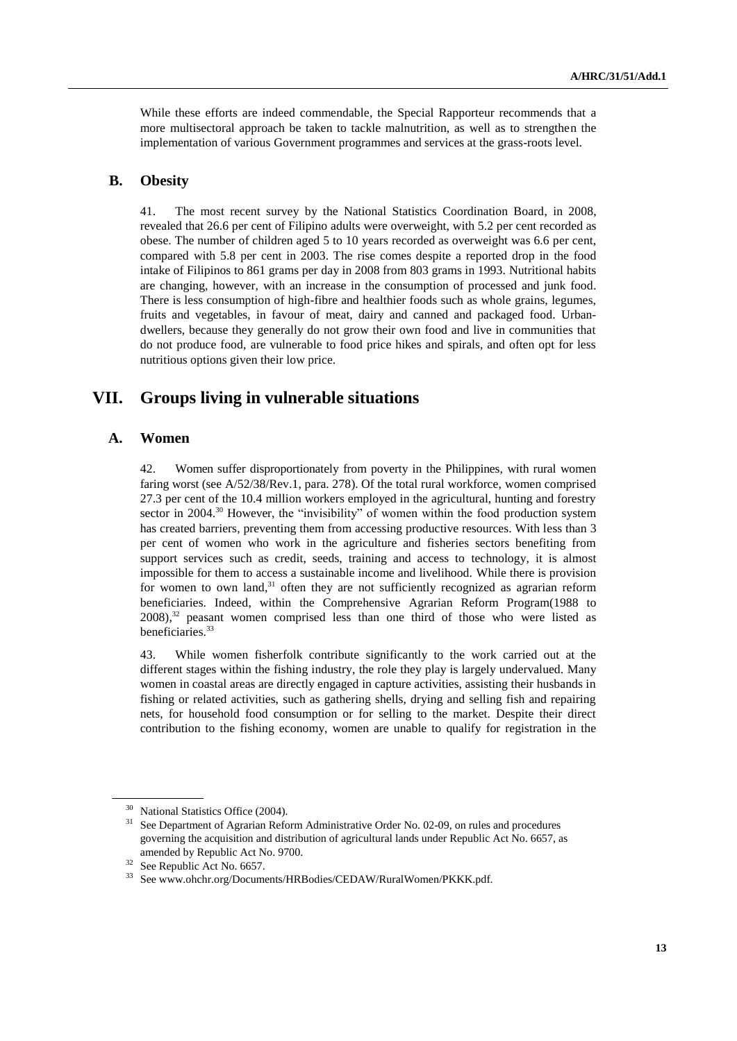While these efforts are indeed commendable, the Special Rapporteur recommends that a more multisectoral approach be taken to tackle malnutrition, as well as to strengthen the implementation of various Government programmes and services at the grass-roots level.

#### **B. Obesity**

41. The most recent survey by the National Statistics Coordination Board, in 2008, revealed that 26.6 per cent of Filipino adults were overweight, with 5.2 per cent recorded as obese. The number of children aged 5 to 10 years recorded as overweight was 6.6 per cent, compared with 5.8 per cent in 2003. The rise comes despite a reported drop in the food intake of Filipinos to 861 grams per day in 2008 from 803 grams in 1993. Nutritional habits are changing, however, with an increase in the consumption of processed and junk food. There is less consumption of high-fibre and healthier foods such as whole grains, legumes, fruits and vegetables, in favour of meat, dairy and canned and packaged food. Urbandwellers, because they generally do not grow their own food and live in communities that do not produce food, are vulnerable to food price hikes and spirals, and often opt for less nutritious options given their low price.

### **VII. Groups living in vulnerable situations**

#### **A. Women**

42. Women suffer disproportionately from poverty in the Philippines, with rural women faring worst (see A/52/38/Rev.1, para. 278). Of the total rural workforce, women comprised 27.3 per cent of the 10.4 million workers employed in the agricultural, hunting and forestry sector in 2004.<sup>30</sup> However, the "invisibility" of women within the food production system has created barriers, preventing them from accessing productive resources. With less than 3 per cent of women who work in the agriculture and fisheries sectors benefiting from support services such as credit, seeds, training and access to technology, it is almost impossible for them to access a sustainable income and livelihood. While there is provision for women to own land,<sup>31</sup> often they are not sufficiently recognized as agrarian reform beneficiaries. Indeed, within the Comprehensive Agrarian Reform Program(1988 to  $(2008)^{32}$  peasant women comprised less than one third of those who were listed as beneficiaries.<sup>33</sup>

43. While women fisherfolk contribute significantly to the work carried out at the different stages within the fishing industry, the role they play is largely undervalued. Many women in coastal areas are directly engaged in capture activities, assisting their husbands in fishing or related activities, such as gathering shells, drying and selling fish and repairing nets, for household food consumption or for selling to the market. Despite their direct contribution to the fishing economy, women are unable to qualify for registration in the

<sup>30</sup> National Statistics Office (2004).

<sup>&</sup>lt;sup>31</sup> See Department of Agrarian Reform Administrative Order No. 02-09, on rules and procedures governing the acquisition and distribution of agricultural lands under Republic Act No. 6657, as amended by Republic Act No. 9700.

<sup>&</sup>lt;sup>32</sup> See Republic Act No. 6657.

<sup>33</sup> See www.ohchr.org/Documents/HRBodies/CEDAW/RuralWomen/PKKK.pdf.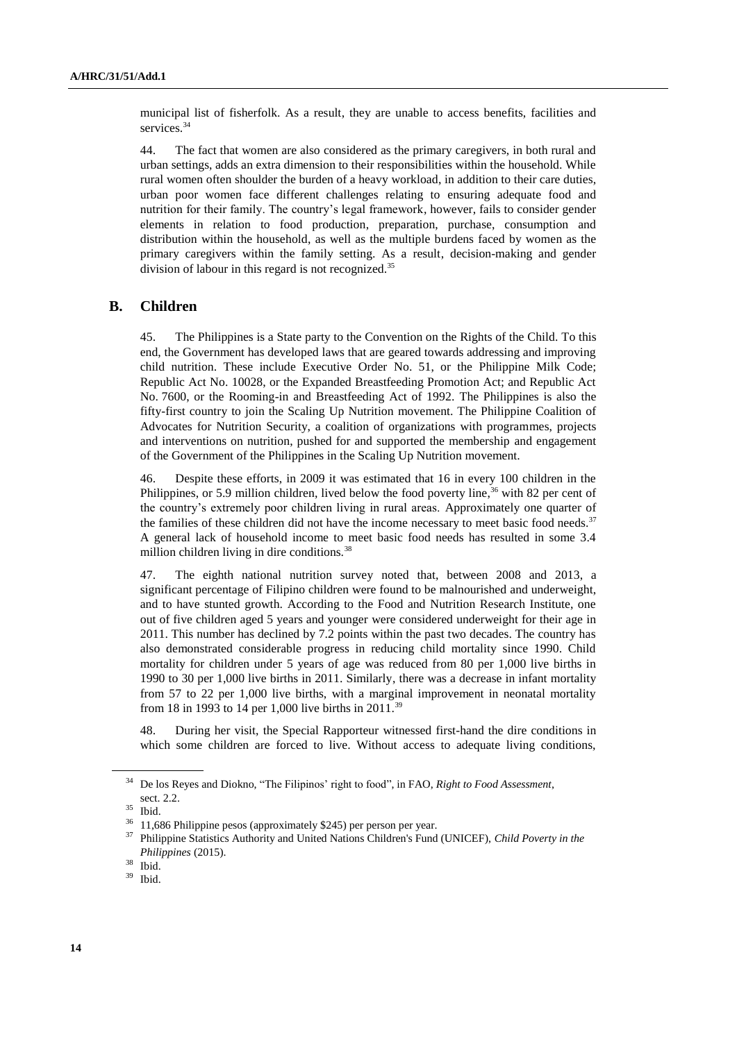municipal list of fisherfolk. As a result, they are unable to access benefits, facilities and services.<sup>34</sup>

44. The fact that women are also considered as the primary caregivers, in both rural and urban settings, adds an extra dimension to their responsibilities within the household. While rural women often shoulder the burden of a heavy workload, in addition to their care duties, urban poor women face different challenges relating to ensuring adequate food and nutrition for their family. The country's legal framework, however, fails to consider gender elements in relation to food production, preparation, purchase, consumption and distribution within the household, as well as the multiple burdens faced by women as the primary caregivers within the family setting. As a result, decision-making and gender division of labour in this regard is not recognized.<sup>35</sup>

#### **B. Children**

45. The Philippines is a State party to the Convention on the Rights of the Child. To this end, the Government has developed laws that are geared towards addressing and improving child nutrition. These include Executive Order No. 51, or the Philippine Milk Code; Republic Act No. 10028, or the Expanded Breastfeeding Promotion Act; and Republic Act No. 7600, or the Rooming-in and Breastfeeding Act of 1992. The Philippines is also the fifty-first country to join the Scaling Up Nutrition movement. The Philippine Coalition of Advocates for Nutrition Security, a coalition of organizations with programmes, projects and interventions on nutrition, pushed for and supported the membership and engagement of the Government of the Philippines in the Scaling Up Nutrition movement.

46. Despite these efforts, in 2009 it was estimated that 16 in every 100 children in the Philippines, or 5.9 million children, lived below the food poverty line,<sup>36</sup> with 82 per cent of the country's extremely poor children living in rural areas. Approximately one quarter of the families of these children did not have the income necessary to meet basic food needs. $37$ A general lack of household income to meet basic food needs has resulted in some 3.4 million children living in dire conditions.<sup>38</sup>

47. The eighth national nutrition survey noted that, between 2008 and 2013, a significant percentage of Filipino children were found to be malnourished and underweight, and to have stunted growth. According to the Food and Nutrition Research Institute, one out of five children aged 5 years and younger were considered underweight for their age in 2011. This number has declined by 7.2 points within the past two decades. The country has also demonstrated considerable progress in reducing child mortality since 1990. Child mortality for children under 5 years of age was reduced from 80 per 1,000 live births in 1990 to 30 per 1,000 live births in 2011. Similarly, there was a decrease in infant mortality from 57 to 22 per 1,000 live births, with a marginal improvement in neonatal mortality from 18 in 1993 to 14 per 1,000 live births in 2011.<sup>39</sup>

48. During her visit, the Special Rapporteur witnessed first-hand the dire conditions in which some children are forced to live. Without access to adequate living conditions,

<sup>34</sup> De los Reyes and Diokno, "The Filipinos' right to food", in FAO, *Right to Food Assessment*, sect. 2.2.

<sup>35</sup> Ibid.

<sup>36</sup> 11,686 Philippine pesos (approximately \$245) per person per year.

<sup>37</sup> Philippine Statistics Authority and United Nations Children's Fund (UNICEF), *Child Poverty in the Philippines* (2015).

 $\frac{38}{39}$  Ibid.

Ibid.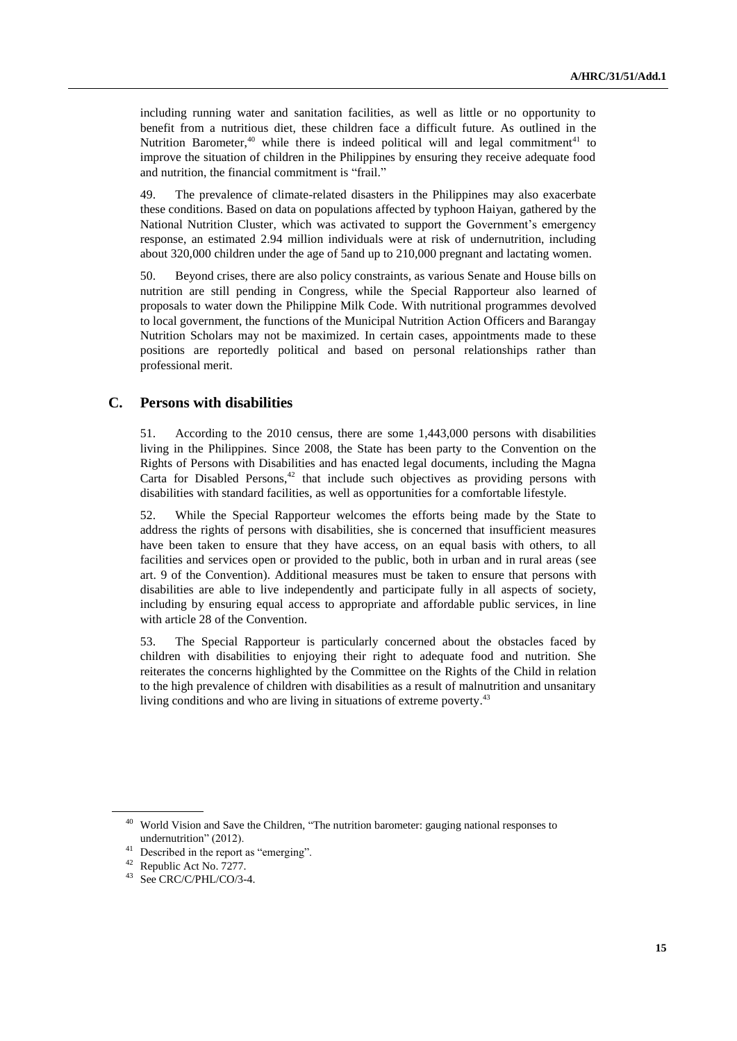including running water and sanitation facilities, as well as little or no opportunity to benefit from a nutritious diet, these children face a difficult future. As outlined in the Nutrition Barometer,<sup>40</sup> while there is indeed political will and legal commitment<sup>41</sup> to improve the situation of children in the Philippines by ensuring they receive adequate food and nutrition, the financial commitment is "frail."

49. The prevalence of climate-related disasters in the Philippines may also exacerbate these conditions. Based on data on populations affected by typhoon Haiyan, gathered by the National Nutrition Cluster, which was activated to support the Government's emergency response, an estimated 2.94 million individuals were at risk of undernutrition, including about 320,000 children under the age of 5and up to 210,000 pregnant and lactating women.

50. Beyond crises, there are also policy constraints, as various Senate and House bills on nutrition are still pending in Congress, while the Special Rapporteur also learned of proposals to water down the Philippine Milk Code. With nutritional programmes devolved to local government, the functions of the Municipal Nutrition Action Officers and Barangay Nutrition Scholars may not be maximized. In certain cases, appointments made to these positions are reportedly political and based on personal relationships rather than professional merit.

#### **C. Persons with disabilities**

51. According to the 2010 census, there are some 1,443,000 persons with disabilities living in the Philippines. Since 2008, the State has been party to the Convention on the Rights of Persons with Disabilities and has enacted legal documents, including the Magna Carta for Disabled Persons, $42$  that include such objectives as providing persons with disabilities with standard facilities, as well as opportunities for a comfortable lifestyle.

52. While the Special Rapporteur welcomes the efforts being made by the State to address the rights of persons with disabilities, she is concerned that insufficient measures have been taken to ensure that they have access, on an equal basis with others, to all facilities and services open or provided to the public, both in urban and in rural areas (see art. 9 of the Convention). Additional measures must be taken to ensure that persons with disabilities are able to live independently and participate fully in all aspects of society, including by ensuring equal access to appropriate and affordable public services, in line with article 28 of the Convention.

53. The Special Rapporteur is particularly concerned about the obstacles faced by children with disabilities to enjoying their right to adequate food and nutrition. She reiterates the concerns highlighted by the Committee on the Rights of the Child in relation to the high prevalence of children with disabilities as a result of malnutrition and unsanitary living conditions and who are living in situations of extreme poverty.<sup>43</sup>

<sup>&</sup>lt;sup>40</sup> World Vision and Save the Children, "The nutrition barometer: gauging national responses to undernutrition" (2012).

<sup>&</sup>lt;sup>41</sup> Described in the report as "emerging".

<sup>42</sup> Republic Act No. 7277.

<sup>43</sup> See CRC/C/PHL/CO/3-4.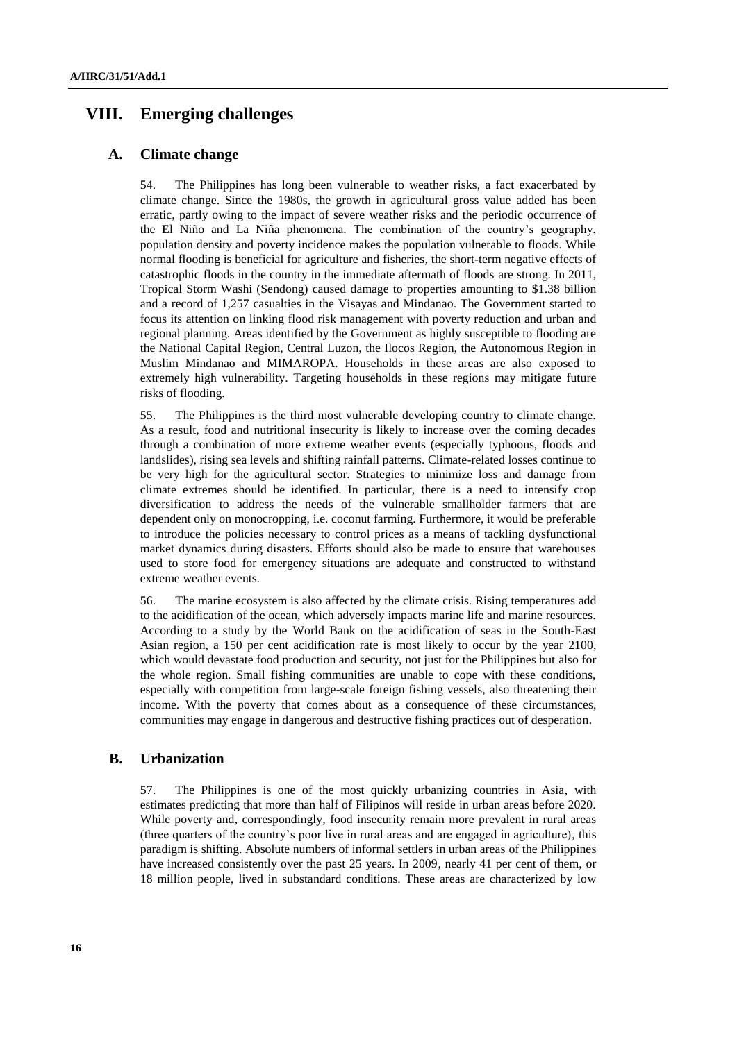# **VIII. Emerging challenges**

#### **A. Climate change**

54. The Philippines has long been vulnerable to weather risks, a fact exacerbated by climate change. Since the 1980s, the growth in agricultural gross value added has been erratic, partly owing to the impact of severe weather risks and the periodic occurrence of the El Niño and La Niña phenomena. The combination of the country's geography, population density and poverty incidence makes the population vulnerable to floods. While normal flooding is beneficial for agriculture and fisheries, the short-term negative effects of catastrophic floods in the country in the immediate aftermath of floods are strong. In 2011, Tropical Storm Washi (Sendong) caused damage to properties amounting to \$1.38 billion and a record of 1,257 casualties in the Visayas and Mindanao. The Government started to focus its attention on linking flood risk management with poverty reduction and urban and regional planning. Areas identified by the Government as highly susceptible to flooding are the National Capital Region, Central Luzon, the Ilocos Region, the Autonomous Region in Muslim Mindanao and MIMAROPA. Households in these areas are also exposed to extremely high vulnerability. Targeting households in these regions may mitigate future risks of flooding.

55. The Philippines is the third most vulnerable developing country to climate change. As a result, food and nutritional insecurity is likely to increase over the coming decades through a combination of more extreme weather events (especially typhoons, floods and landslides), rising sea levels and shifting rainfall patterns. Climate-related losses continue to be very high for the agricultural sector. Strategies to minimize loss and damage from climate extremes should be identified. In particular, there is a need to intensify crop diversification to address the needs of the vulnerable smallholder farmers that are dependent only on monocropping, i.e. coconut farming. Furthermore, it would be preferable to introduce the policies necessary to control prices as a means of tackling dysfunctional market dynamics during disasters. Efforts should also be made to ensure that warehouses used to store food for emergency situations are adequate and constructed to withstand extreme weather events.

56. The marine ecosystem is also affected by the climate crisis. Rising temperatures add to the acidification of the ocean, which adversely impacts marine life and marine resources. According to a study by the World Bank on the acidification of seas in the South-East Asian region, a 150 per cent acidification rate is most likely to occur by the year 2100, which would devastate food production and security, not just for the Philippines but also for the whole region. Small fishing communities are unable to cope with these conditions, especially with competition from large-scale foreign fishing vessels, also threatening their income. With the poverty that comes about as a consequence of these circumstances, communities may engage in dangerous and destructive fishing practices out of desperation.

#### **B. Urbanization**

57. The Philippines is one of the most quickly urbanizing countries in Asia, with estimates predicting that more than half of Filipinos will reside in urban areas before 2020. While poverty and, correspondingly, food insecurity remain more prevalent in rural areas (three quarters of the country's poor live in rural areas and are engaged in agriculture), this paradigm is shifting. Absolute numbers of informal settlers in urban areas of the Philippines have increased consistently over the past 25 years. In 2009, nearly 41 per cent of them, or 18 million people, lived in substandard conditions. These areas are characterized by low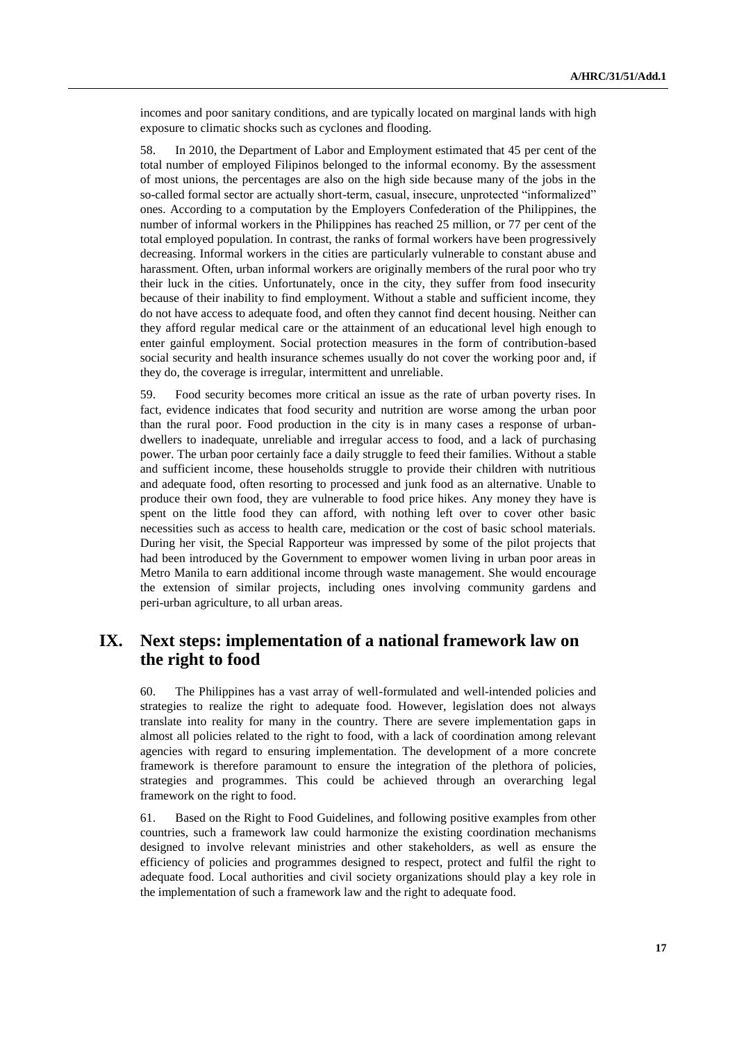incomes and poor sanitary conditions, and are typically located on marginal lands with high exposure to climatic shocks such as cyclones and flooding.

58. In 2010, the Department of Labor and Employment estimated that 45 per cent of the total number of employed Filipinos belonged to the informal economy. By the assessment of most unions, the percentages are also on the high side because many of the jobs in the so-called formal sector are actually short-term, casual, insecure, unprotected "informalized" ones. According to a computation by the Employers Confederation of the Philippines, the number of informal workers in the Philippines has reached 25 million, or 77 per cent of the total employed population. In contrast, the ranks of formal workers have been progressively decreasing. Informal workers in the cities are particularly vulnerable to constant abuse and harassment. Often, urban informal workers are originally members of the rural poor who try their luck in the cities. Unfortunately, once in the city, they suffer from food insecurity because of their inability to find employment. Without a stable and sufficient income, they do not have access to adequate food, and often they cannot find decent housing. Neither can they afford regular medical care or the attainment of an educational level high enough to enter gainful employment. Social protection measures in the form of contribution-based social security and health insurance schemes usually do not cover the working poor and, if they do, the coverage is irregular, intermittent and unreliable.

59. Food security becomes more critical an issue as the rate of urban poverty rises. In fact, evidence indicates that food security and nutrition are worse among the urban poor than the rural poor. Food production in the city is in many cases a response of urbandwellers to inadequate, unreliable and irregular access to food, and a lack of purchasing power. The urban poor certainly face a daily struggle to feed their families. Without a stable and sufficient income, these households struggle to provide their children with nutritious and adequate food, often resorting to processed and junk food as an alternative. Unable to produce their own food, they are vulnerable to food price hikes. Any money they have is spent on the little food they can afford, with nothing left over to cover other basic necessities such as access to health care, medication or the cost of basic school materials. During her visit, the Special Rapporteur was impressed by some of the pilot projects that had been introduced by the Government to empower women living in urban poor areas in Metro Manila to earn additional income through waste management. She would encourage the extension of similar projects, including ones involving community gardens and peri-urban agriculture, to all urban areas.

# **IX. Next steps: implementation of a national framework law on the right to food**

60. The Philippines has a vast array of well-formulated and well-intended policies and strategies to realize the right to adequate food. However, legislation does not always translate into reality for many in the country. There are severe implementation gaps in almost all policies related to the right to food, with a lack of coordination among relevant agencies with regard to ensuring implementation. The development of a more concrete framework is therefore paramount to ensure the integration of the plethora of policies, strategies and programmes. This could be achieved through an overarching legal framework on the right to food.

61. Based on the Right to Food Guidelines, and following positive examples from other countries, such a framework law could harmonize the existing coordination mechanisms designed to involve relevant ministries and other stakeholders, as well as ensure the efficiency of policies and programmes designed to respect, protect and fulfil the right to adequate food. Local authorities and civil society organizations should play a key role in the implementation of such a framework law and the right to adequate food.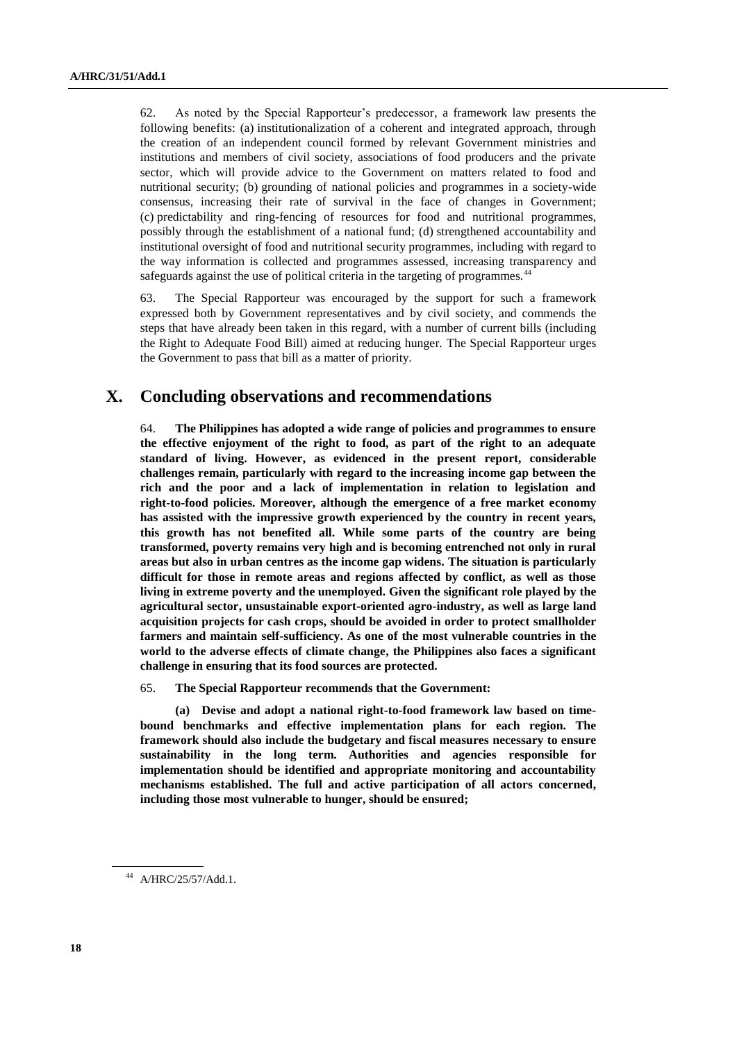62. As noted by the Special Rapporteur's predecessor, a framework law presents the following benefits: (a) institutionalization of a coherent and integrated approach, through the creation of an independent council formed by relevant Government ministries and institutions and members of civil society, associations of food producers and the private sector, which will provide advice to the Government on matters related to food and nutritional security; (b) grounding of national policies and programmes in a society-wide consensus, increasing their rate of survival in the face of changes in Government; (c) predictability and ring-fencing of resources for food and nutritional programmes, possibly through the establishment of a national fund; (d) strengthened accountability and institutional oversight of food and nutritional security programmes, including with regard to the way information is collected and programmes assessed, increasing transparency and safeguards against the use of political criteria in the targeting of programmes.<sup>44</sup>

63. The Special Rapporteur was encouraged by the support for such a framework expressed both by Government representatives and by civil society, and commends the steps that have already been taken in this regard, with a number of current bills (including the Right to Adequate Food Bill) aimed at reducing hunger. The Special Rapporteur urges the Government to pass that bill as a matter of priority.

# **X. Concluding observations and recommendations**

64. **The Philippines has adopted a wide range of policies and programmes to ensure the effective enjoyment of the right to food, as part of the right to an adequate standard of living. However, as evidenced in the present report, considerable challenges remain, particularly with regard to the increasing income gap between the rich and the poor and a lack of implementation in relation to legislation and right-to-food policies. Moreover, although the emergence of a free market economy has assisted with the impressive growth experienced by the country in recent years, this growth has not benefited all. While some parts of the country are being transformed, poverty remains very high and is becoming entrenched not only in rural areas but also in urban centres as the income gap widens. The situation is particularly difficult for those in remote areas and regions affected by conflict, as well as those living in extreme poverty and the unemployed. Given the significant role played by the agricultural sector, unsustainable export-oriented agro-industry, as well as large land acquisition projects for cash crops, should be avoided in order to protect smallholder farmers and maintain self-sufficiency. As one of the most vulnerable countries in the world to the adverse effects of climate change, the Philippines also faces a significant challenge in ensuring that its food sources are protected.** 

65. **The Special Rapporteur recommends that the Government:**

**(a) Devise and adopt a national right-to-food framework law based on timebound benchmarks and effective implementation plans for each region. The framework should also include the budgetary and fiscal measures necessary to ensure sustainability in the long term. Authorities and agencies responsible for implementation should be identified and appropriate monitoring and accountability mechanisms established. The full and active participation of all actors concerned, including those most vulnerable to hunger, should be ensured;**

<sup>44</sup> A/HRC/25/57/Add.1.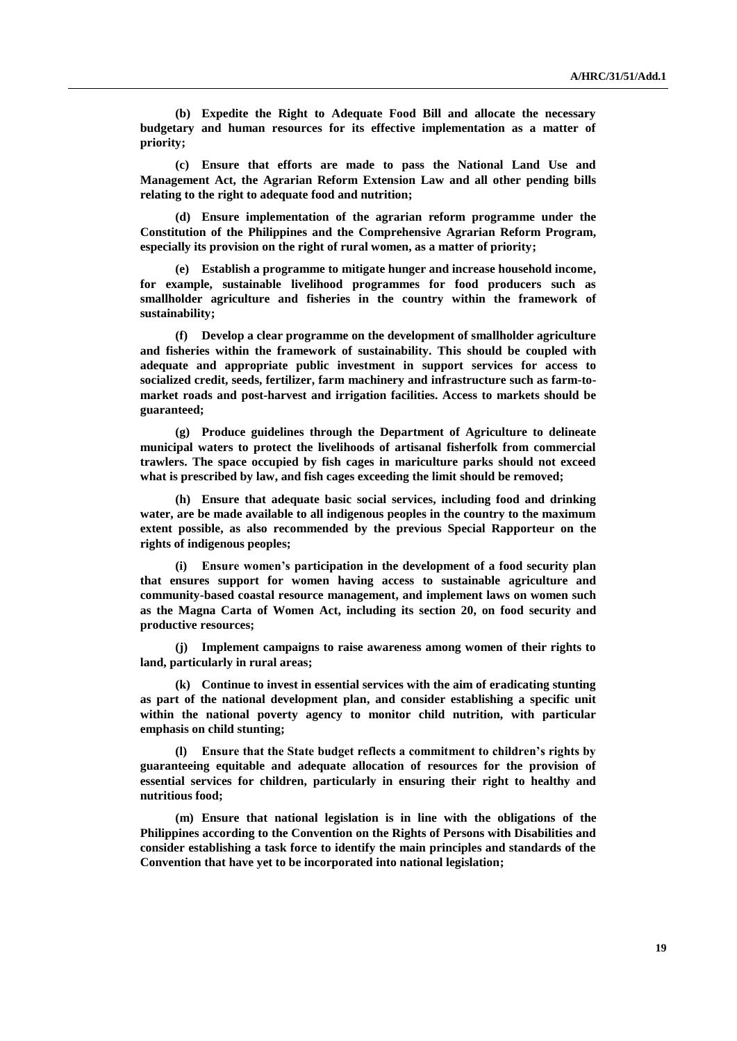**(b) Expedite the Right to Adequate Food Bill and allocate the necessary budgetary and human resources for its effective implementation as a matter of priority;**

**(c) Ensure that efforts are made to pass the National Land Use and Management Act, the Agrarian Reform Extension Law and all other pending bills relating to the right to adequate food and nutrition;**

**(d) Ensure implementation of the agrarian reform programme under the Constitution of the Philippines and the Comprehensive Agrarian Reform Program, especially its provision on the right of rural women, as a matter of priority;**

**(e) Establish a programme to mitigate hunger and increase household income, for example, sustainable livelihood programmes for food producers such as smallholder agriculture and fisheries in the country within the framework of sustainability;**

**(f) Develop a clear programme on the development of smallholder agriculture and fisheries within the framework of sustainability. This should be coupled with adequate and appropriate public investment in support services for access to socialized credit, seeds, fertilizer, farm machinery and infrastructure such as farm-tomarket roads and post-harvest and irrigation facilities. Access to markets should be guaranteed;**

**(g) Produce guidelines through the Department of Agriculture to delineate municipal waters to protect the livelihoods of artisanal fisherfolk from commercial trawlers. The space occupied by fish cages in mariculture parks should not exceed what is prescribed by law, and fish cages exceeding the limit should be removed;**

**(h) Ensure that adequate basic social services, including food and drinking water, are be made available to all indigenous peoples in the country to the maximum extent possible, as also recommended by the previous Special Rapporteur on the rights of indigenous peoples;**

**(i) Ensure women's participation in the development of a food security plan that ensures support for women having access to sustainable agriculture and community-based coastal resource management, and implement laws on women such as the Magna Carta of Women Act, including its section 20, on food security and productive resources;**

**(j) Implement campaigns to raise awareness among women of their rights to land, particularly in rural areas;**

**(k) Continue to invest in essential services with the aim of eradicating stunting as part of the national development plan, and consider establishing a specific unit within the national poverty agency to monitor child nutrition, with particular emphasis on child stunting;**

**(l) Ensure that the State budget reflects a commitment to children's rights by guaranteeing equitable and adequate allocation of resources for the provision of essential services for children, particularly in ensuring their right to healthy and nutritious food;**

**(m) Ensure that national legislation is in line with the obligations of the Philippines according to the Convention on the Rights of Persons with Disabilities and consider establishing a task force to identify the main principles and standards of the Convention that have yet to be incorporated into national legislation;**